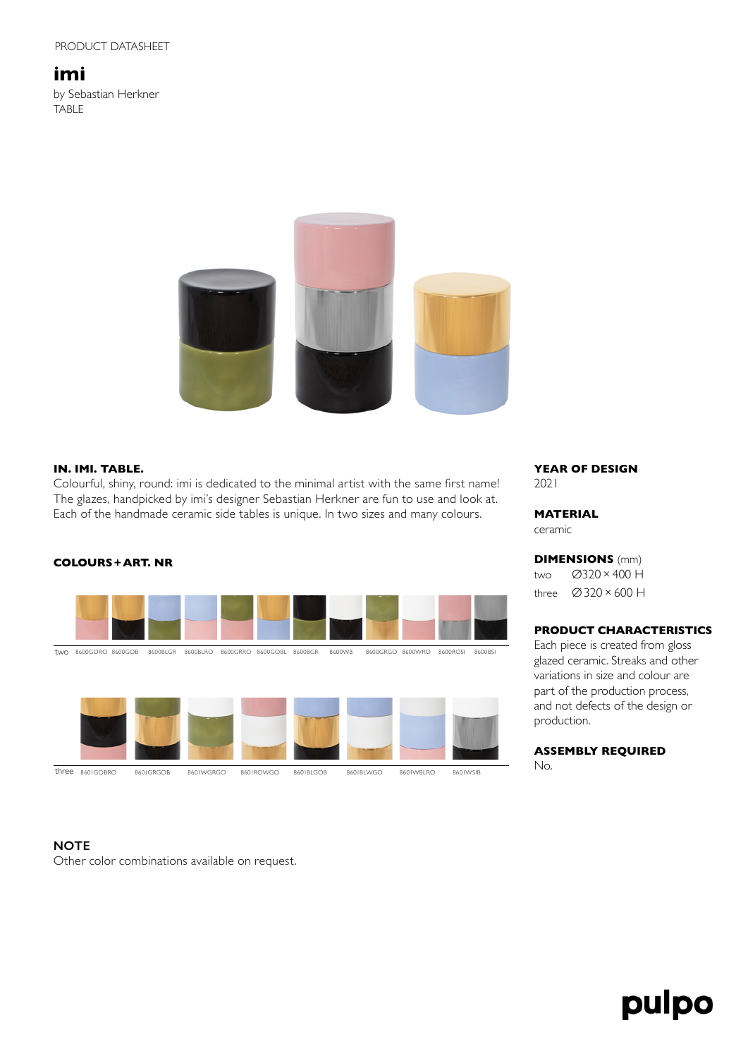## **imi**

by Sebastian Herkner TABLE



## **IN. IMI. TABLE.**

Colourful, shiny, round: imi is dedicated to the minimal artist with the same first name! The glazes, handpicked by imi's designer Sebastian Herkner are fun to use and look at. Each of the handmade ceramic side tables is unique. In two sizes and many colours.



## **YEAR OF DESIGN** 2021

## **MATERIAL**

ceramic

**DIMENSIONS** (mm) two Ø320×400 H three Ø320×600 H

## **PRODUCT CHARACTERISTICS**

Each piece is created from gloss glazed ceramic. Streaks and other variations in size and colour are part of the production process, and not defects of the design or production.

## **ASSEMBLY REQUIRED**

No.

## **NOTE**

Other color combinations available on request.

# pulpo